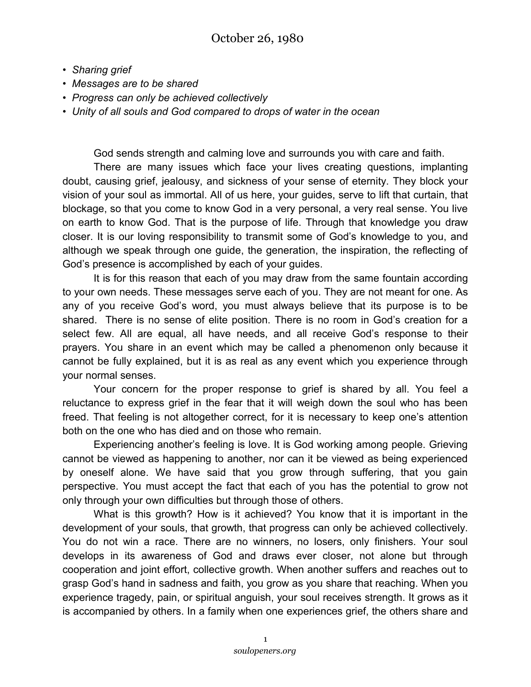- *Sharing grief*
- *Messages are to be shared*
- *Progress can only be achieved collectively*
- *Unity of all souls and God compared to drops of water in the ocean*

God sends strength and calming love and surrounds you with care and faith.

There are many issues which face your lives creating questions, implanting doubt, causing grief, jealousy, and sickness of your sense of eternity. They block your vision of your soul as immortal. All of us here, your guides, serve to lift that curtain, that blockage, so that you come to know God in a very personal, a very real sense. You live on earth to know God. That is the purpose of life. Through that knowledge you draw closer. It is our loving responsibility to transmit some of God's knowledge to you, and although we speak through one guide, the generation, the inspiration, the reflecting of God's presence is accomplished by each of your guides.

It is for this reason that each of you may draw from the same fountain according to your own needs. These messages serve each of you. They are not meant for one. As any of you receive God's word, you must always believe that its purpose is to be shared. There is no sense of elite position. There is no room in God's creation for a select few. All are equal, all have needs, and all receive God's response to their prayers. You share in an event which may be called a phenomenon only because it cannot be fully explained, but it is as real as any event which you experience through your normal senses.

Your concern for the proper response to grief is shared by all. You feel a reluctance to express grief in the fear that it will weigh down the soul who has been freed. That feeling is not altogether correct, for it is necessary to keep one's attention both on the one who has died and on those who remain.

Experiencing another's feeling is love. It is God working among people. Grieving cannot be viewed as happening to another, nor can it be viewed as being experienced by oneself alone. We have said that you grow through suffering, that you gain perspective. You must accept the fact that each of you has the potential to grow not only through your own difficulties but through those of others.

What is this growth? How is it achieved? You know that it is important in the development of your souls, that growth, that progress can only be achieved collectively. You do not win a race. There are no winners, no losers, only finishers. Your soul develops in its awareness of God and draws ever closer, not alone but through cooperation and joint effort, collective growth. When another suffers and reaches out to grasp God's hand in sadness and faith, you grow as you share that reaching. When you experience tragedy, pain, or spiritual anguish, your soul receives strength. It grows as it is accompanied by others. In a family when one experiences grief, the others share and